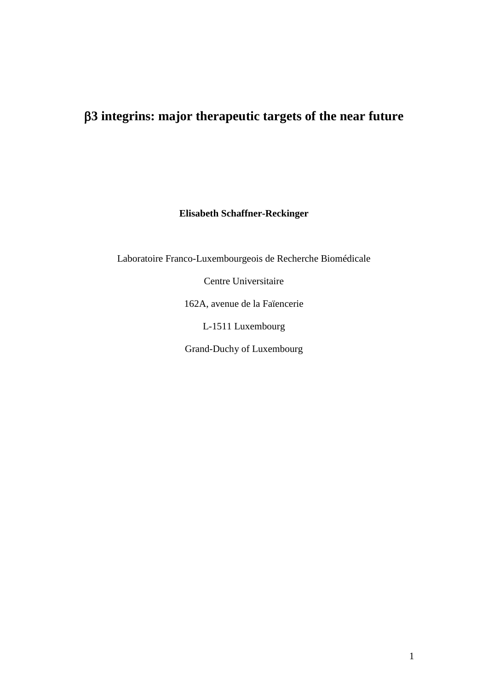## **3 integrins: major therapeutic targets of the near future**

**Elisabeth Schaffner-Reckinger** 

Laboratoire Franco-Luxembourgeois de Recherche Biomédicale

Centre Universitaire

162A, avenue de la Faïencerie

L-1511 Luxembourg

Grand-Duchy of Luxembourg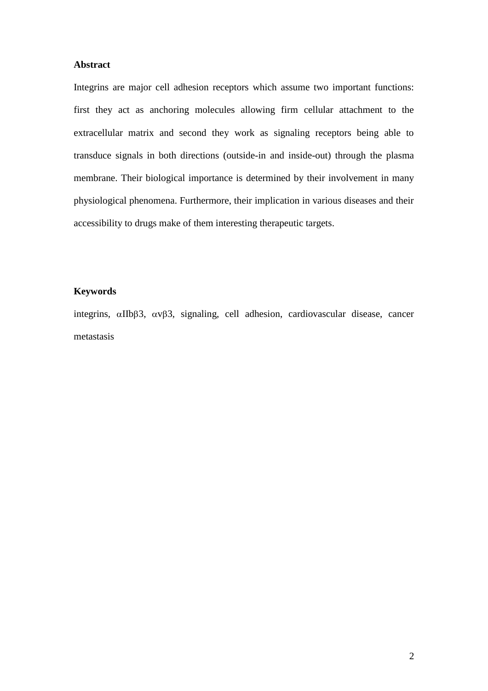## **Abstract**

Integrins are major cell adhesion receptors which assume two important functions: first they act as anchoring molecules allowing firm cellular attachment to the extracellular matrix and second they work as signaling receptors being able to transduce signals in both directions (outside-in and inside-out) through the plasma membrane. Their biological importance is determined by their involvement in many physiological phenomena. Furthermore, their implication in various diseases and their accessibility to drugs make of them interesting therapeutic targets.

### **Keywords**

integrins,  $\alpha$ IIb $\beta$ 3,  $\alpha$ v $\beta$ 3, signaling, cell adhesion, cardiovascular disease, cancer metastasis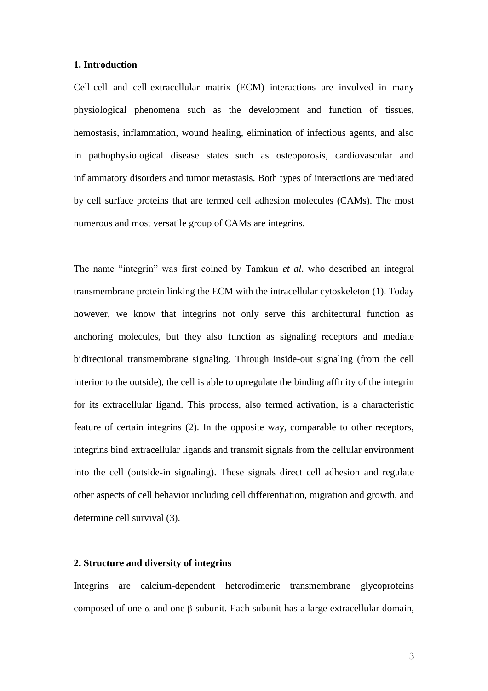#### **1. Introduction**

Cell-cell and cell-extracellular matrix (ECM) interactions are involved in many physiological phenomena such as the development and function of tissues, hemostasis, inflammation, wound healing, elimination of infectious agents, and also in pathophysiological disease states such as osteoporosis, cardiovascular and inflammatory disorders and tumor metastasis. Both types of interactions are mediated by cell surface proteins that are termed cell adhesion molecules (CAMs). The most numerous and most versatile group of CAMs are integrins.

The name "integrin" was first coined by Tamkun *et al*. who described an integral transmembrane protein linking the ECM with the intracellular cytoskeleton (1). Today however, we know that integrins not only serve this architectural function as anchoring molecules, but they also function as signaling receptors and mediate bidirectional transmembrane signaling. Through inside-out signaling (from the cell interior to the outside), the cell is able to upregulate the binding affinity of the integrin for its extracellular ligand. This process, also termed activation, is a characteristic feature of certain integrins (2). In the opposite way, comparable to other receptors, integrins bind extracellular ligands and transmit signals from the cellular environment into the cell (outside-in signaling). These signals direct cell adhesion and regulate other aspects of cell behavior including cell differentiation, migration and growth, and determine cell survival (3).

### **2. Structure and diversity of integrins**

Integrins are calcium-dependent heterodimeric transmembrane glycoproteins composed of one  $\alpha$  and one  $\beta$  subunit. Each subunit has a large extracellular domain,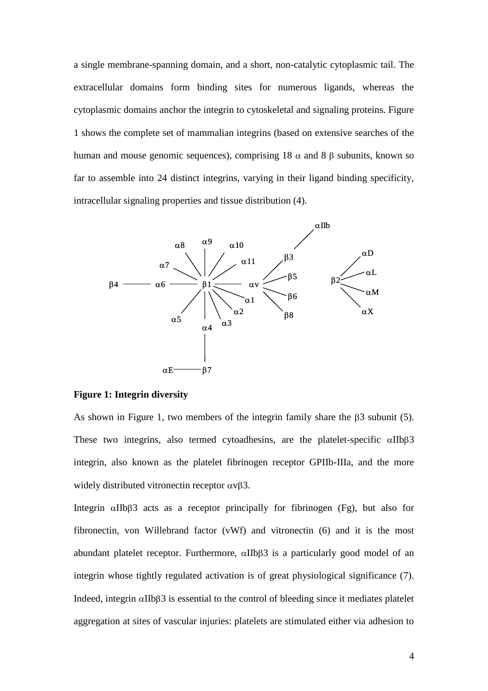a single membrane-spanning domain, and a short, non-catalytic cytoplasmic tail. The extracellular domains form binding sites for numerous ligands, whereas the cytoplasmic domains anchor the integrin to cytoskeletal and signaling proteins. Figure 1 shows the complete set of mammalian integrins (based on extensive searches of the human and mouse genomic sequences), comprising 18  $\alpha$  and 8  $\beta$  subunits, known so far to assemble into 24 distinct integrins, varying in their ligand binding specificity, intracellular signaling properties and tissue distribution (4).



#### **Figure 1: Integrin diversity**

As shown in Figure 1, two members of the integrin family share the  $\beta$ 3 subunit (5). These two integrins, also termed cytoadhesins, are the platelet-specific  $\alpha$ IIb $\beta$ 3 integrin, also known as the platelet fibrinogen receptor GPIIb-IIIa, and the more widely distributed vitronectin receptor  $\alpha \nu \beta 3$ .

Integrin  $\alpha$ IIb $\beta$ 3 acts as a receptor principally for fibrinogen (Fg), but also for fibronectin, von Willebrand factor (vWf) and vitronectin (6) and it is the most abundant platelet receptor. Furthermore,  $\alpha$ IIb $\beta$ 3 is a particularly good model of an integrin whose tightly regulated activation is of great physiological significance (7). Indeed, integrin  $\alpha$ IIb $\beta$ 3 is essential to the control of bleeding since it mediates platelet aggregation at sites of vascular injuries: platelets are stimulated either via adhesion to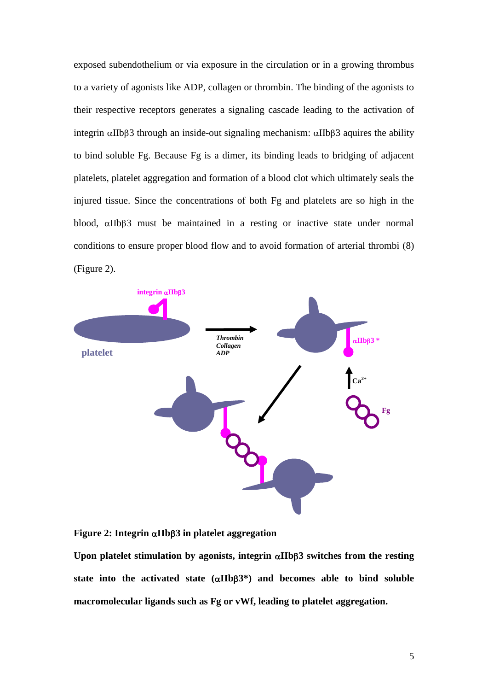exposed subendothelium or via exposure in the circulation or in a growing thrombus to a variety of agonists like ADP, collagen or thrombin. The binding of the agonists to their respective receptors generates a signaling cascade leading to the activation of integrin  $\alpha$ IIb $\beta$ 3 through an inside-out signaling mechanism:  $\alpha$ IIb $\beta$ 3 aquires the ability to bind soluble Fg. Because Fg is a dimer, its binding leads to bridging of adjacent platelets, platelet aggregation and formation of a blood clot which ultimately seals the injured tissue. Since the concentrations of both Fg and platelets are so high in the blood,  $\alpha$ IIb $\beta$ 3 must be maintained in a resting or inactive state under normal conditions to ensure proper blood flow and to avoid formation of arterial thrombi (8) (Figure 2).



**Figure 2: Integrin IIb3 in platelet aggregation**

Upon platelet stimulation by agonists, integrin  $\alpha$ IIb $\beta$ 3 switches from the resting state into the activated state  $(\alpha \text{IIb}\beta 3^*)$  and becomes able to bind soluble **macromolecular ligands such as Fg or vWf, leading to platelet aggregation.**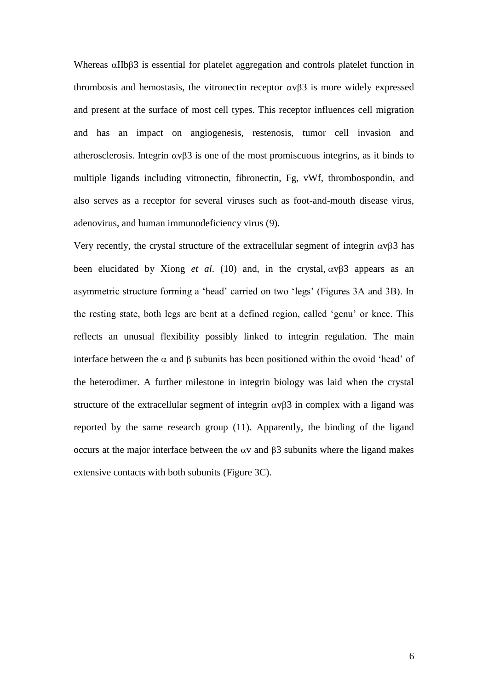Whereas  $\alpha$ IIb $\beta$ 3 is essential for platelet aggregation and controls platelet function in thrombosis and hemostasis, the vitronectin receptor  $\alpha$  v $\beta$ 3 is more widely expressed and present at the surface of most cell types. This receptor influences cell migration and has an impact on angiogenesis, restenosis, tumor cell invasion and atherosclerosis. Integrin  $\alpha \nu \beta 3$  is one of the most promiscuous integrins, as it binds to multiple ligands including vitronectin, fibronectin, Fg, vWf, thrombospondin, and also serves as a receptor for several viruses such as foot-and-mouth disease virus, adenovirus, and human immunodeficiency virus (9).

Very recently, the crystal structure of the extracellular segment of integrin  $\alpha v\beta 3$  has been elucidated by Xiong *et al.* (10) and, in the crystal,  $\alpha v\beta$  appears as an asymmetric structure forming a 'head' carried on two 'legs' (Figures 3A and 3B). In the resting state, both legs are bent at a defined region, called 'genu' or knee. This reflects an unusual flexibility possibly linked to integrin regulation. The main interface between the  $\alpha$  and  $\beta$  subunits has been positioned within the ovoid 'head' of the heterodimer. A further milestone in integrin biology was laid when the crystal structure of the extracellular segment of integrin  $\alpha \nu \beta$  in complex with a ligand was reported by the same research group (11). Apparently, the binding of the ligand occurs at the major interface between the  $\alpha v$  and  $\beta 3$  subunits where the ligand makes extensive contacts with both subunits (Figure 3C).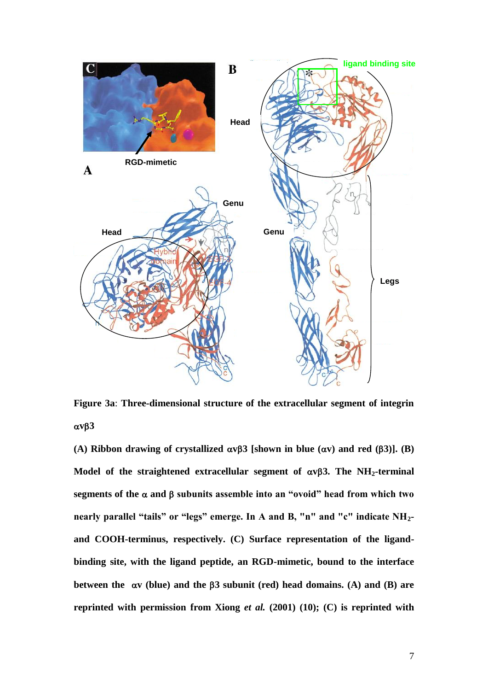

**Figure 3a**: **Three-dimensional structure of the extracellular segment of integrin**   $\alpha v\beta3$ 

(A) Ribbon drawing of crystallized  $\alpha \nu \beta$  3 [shown in blue  $(\alpha \nu)$  and red  $(\beta 3)$ ]. (B) Model of the straightened extracellular segment of  $\alpha v\beta$ 3. The NH<sub>2</sub>-terminal segments of the  $\alpha$  and  $\beta$  subunits assemble into an "ovoid" head from which two **nearly parallel "tails" or "legs" emerge. In A and B, "n" and "c" indicate NH2 and COOH-terminus, respectively. (C) Surface representation of the ligandbinding site, with the ligand peptide, an RGD-mimetic, bound to the interface between the v (blue) and the 3 subunit (red) head domains. (A) and (B) are reprinted with permission from Xiong** *et al.* **(2001) (10); (C) is reprinted with**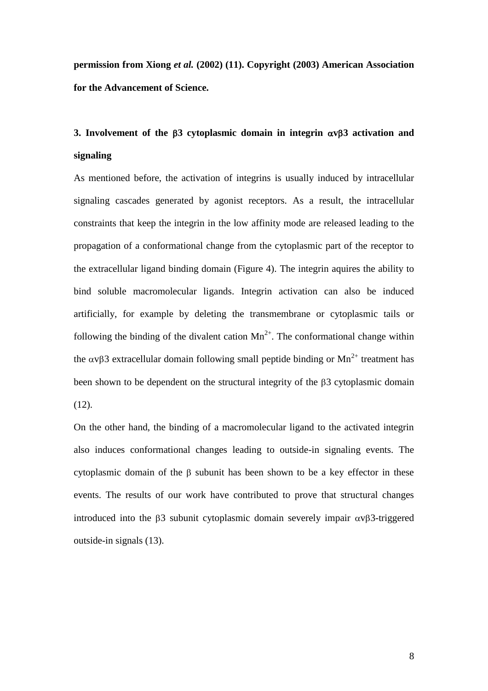**permission from Xiong** *et al.* **(2002) (11). Copyright (2003) American Association for the Advancement of Science.**

# **3.** Involvement of the  $\beta$ 3 cytoplasmic domain in integrin  $\alpha$  v $\beta$ 3 activation and **signaling**

As mentioned before, the activation of integrins is usually induced by intracellular signaling cascades generated by agonist receptors. As a result, the intracellular constraints that keep the integrin in the low affinity mode are released leading to the propagation of a conformational change from the cytoplasmic part of the receptor to the extracellular ligand binding domain (Figure 4). The integrin aquires the ability to bind soluble macromolecular ligands. Integrin activation can also be induced artificially, for example by deleting the transmembrane or cytoplasmic tails or following the binding of the divalent cation  $Mn^{2+}$ . The conformational change within the  $\alpha$ v $\beta$ 3 extracellular domain following small peptide binding or Mn<sup>2+</sup> treatment has been shown to be dependent on the structural integrity of the  $\beta$ 3 cytoplasmic domain  $(12)$ .

On the other hand, the binding of a macromolecular ligand to the activated integrin also induces conformational changes leading to outside-in signaling events. The cytoplasmic domain of the  $\beta$  subunit has been shown to be a key effector in these events. The results of our work have contributed to prove that structural changes introduced into the  $\beta$ 3 subunit cytoplasmic domain severely impair  $\alpha$ v $\beta$ 3-triggered outside-in signals (13).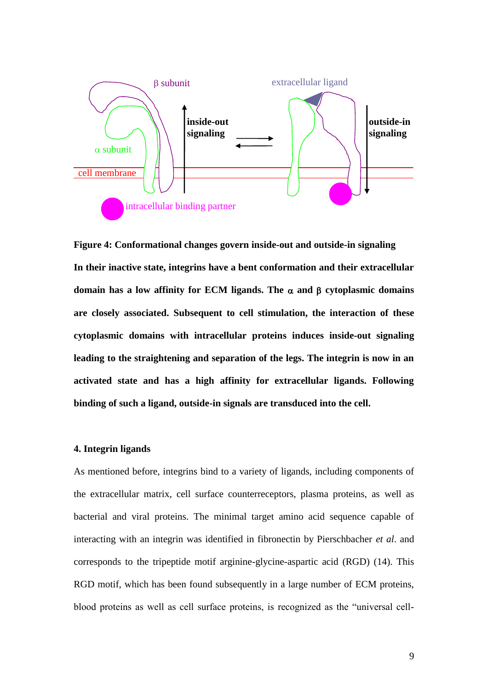

**Figure 4: Conformational changes govern inside-out and outside-in signaling In their inactive state, integrins have a bent conformation and their extracellular domain has a low affinity for ECM ligands. The**  $\alpha$  **and**  $\beta$  **cytoplasmic domains are closely associated. Subsequent to cell stimulation, the interaction of these cytoplasmic domains with intracellular proteins induces inside-out signaling leading to the straightening and separation of the legs. The integrin is now in an activated state and has a high affinity for extracellular ligands. Following binding of such a ligand, outside-in signals are transduced into the cell.**

#### **4. Integrin ligands**

As mentioned before, integrins bind to a variety of ligands, including components of the extracellular matrix, cell surface counterreceptors, plasma proteins, as well as bacterial and viral proteins. The minimal target amino acid sequence capable of interacting with an integrin was identified in fibronectin by Pierschbacher *et al*. and corresponds to the tripeptide motif arginine-glycine-aspartic acid (RGD) (14). This RGD motif, which has been found subsequently in a large number of ECM proteins, blood proteins as well as cell surface proteins, is recognized as the "universal cell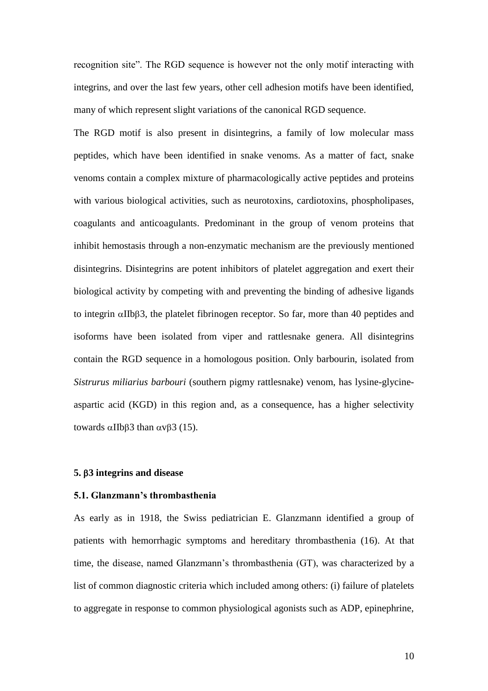recognition site". The RGD sequence is however not the only motif interacting with integrins, and over the last few years, other cell adhesion motifs have been identified, many of which represent slight variations of the canonical RGD sequence.

The RGD motif is also present in disintegrins, a family of low molecular mass peptides, which have been identified in snake venoms. As a matter of fact, snake venoms contain a complex mixture of pharmacologically active peptides and proteins with various biological activities, such as neurotoxins, cardiotoxins, phospholipases, coagulants and anticoagulants. Predominant in the group of venom proteins that inhibit hemostasis through a non-enzymatic mechanism are the previously mentioned disintegrins. Disintegrins are potent inhibitors of platelet aggregation and exert their biological activity by competing with and preventing the binding of adhesive ligands to integrin  $\alpha$ IIb $\beta$ 3, the platelet fibrinogen receptor. So far, more than 40 peptides and isoforms have been isolated from viper and rattlesnake genera. All disintegrins contain the RGD sequence in a homologous position. Only barbourin, isolated from *Sistrurus miliarius barbouri* (southern pigmy rattlesnake) venom, has lysine-glycineaspartic acid (KGD) in this region and, as a consequence, has a higher selectivity towards  $\alpha$ IIb $\beta$ 3 than  $\alpha$ v $\beta$ 3 (15).

### **5. 3 integrins and disease**

## **5.1. Glanzmann's thrombasthenia**

As early as in 1918, the Swiss pediatrician E. Glanzmann identified a group of patients with hemorrhagic symptoms and hereditary thrombasthenia (16). At that time, the disease, named Glanzmann's thrombasthenia (GT), was characterized by a list of common diagnostic criteria which included among others: (i) failure of platelets to aggregate in response to common physiological agonists such as ADP, epinephrine,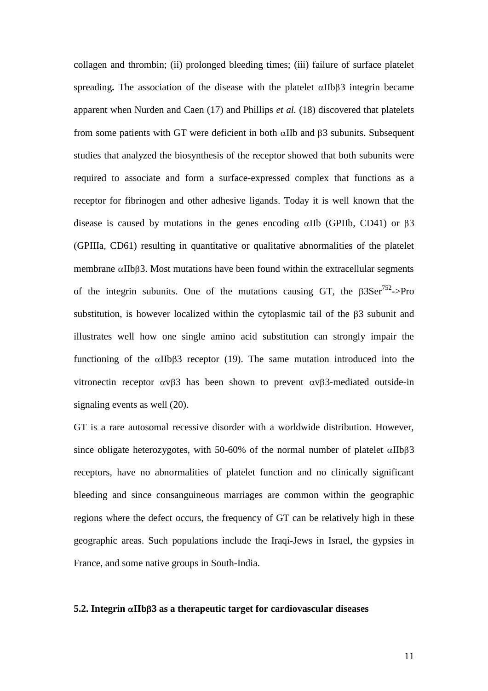collagen and thrombin; (ii) prolonged bleeding times; (iii) failure of surface platelet spreading. The association of the disease with the platelet  $\alpha$ IIb $\beta$ 3 integrin became apparent when Nurden and Caen (17) and Phillips *et al.* (18) discovered that platelets from some patients with GT were deficient in both  $\alpha$ IIb and  $\beta$ 3 subunits. Subsequent studies that analyzed the biosynthesis of the receptor showed that both subunits were required to associate and form a surface-expressed complex that functions as a receptor for fibrinogen and other adhesive ligands. Today it is well known that the disease is caused by mutations in the genes encoding  $\alpha$ IIb (GPIIb, CD41) or  $\beta$ 3 (GPIIIa, CD61) resulting in quantitative or qualitative abnormalities of the platelet membrane  $\alpha$ IIb $\beta$ 3. Most mutations have been found within the extracellular segments of the integrin subunits. One of the mutations causing GT, the  $\beta 3Ser^{752}$ ->Pro substitution, is however localized within the cytoplasmic tail of the  $\beta$ 3 subunit and illustrates well how one single amino acid substitution can strongly impair the functioning of the  $\alpha$ IIb $\beta$ 3 receptor (19). The same mutation introduced into the vitronectin receptor  $\alpha \nu \beta$  has been shown to prevent  $\alpha \nu \beta$  mediated outside-in signaling events as well (20).

GT is a rare autosomal recessive disorder with a worldwide distribution. However, since obligate heterozygotes, with 50-60% of the normal number of platelet  $\alpha$ IIb $\beta$ 3 receptors, have no abnormalities of platelet function and no clinically significant bleeding and since consanguineous marriages are common within the geographic regions where the defect occurs, the frequency of GT can be relatively high in these geographic areas. Such populations include the Iraqi-Jews in Israel, the gypsies in France, and some native groups in South-India.

#### **5.2. Integrin IIb3 as a therapeutic target for cardiovascular diseases**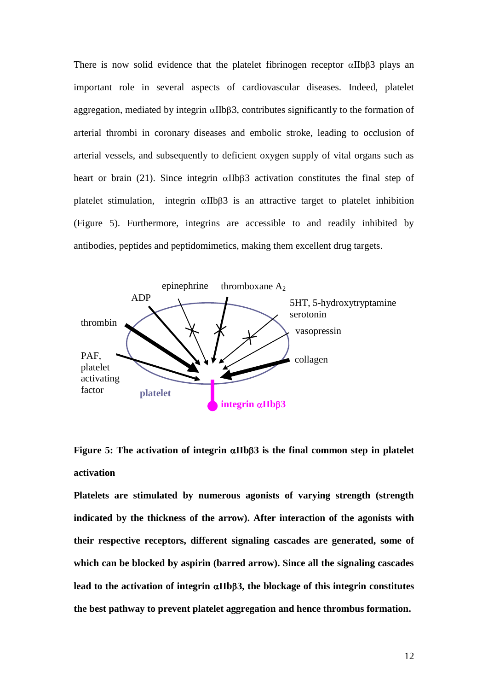There is now solid evidence that the platelet fibrinogen receptor  $\alpha$ IIb $\beta$ 3 plays an important role in several aspects of cardiovascular diseases. Indeed, platelet aggregation, mediated by integrin  $\alpha$ IIb $\beta$ 3, contributes significantly to the formation of arterial thrombi in coronary diseases and embolic stroke, leading to occlusion of arterial vessels, and subsequently to deficient oxygen supply of vital organs such as heart or brain (21). Since integrin  $\alpha$ IIb $\beta$ 3 activation constitutes the final step of platelet stimulation, integrin  $\alpha$ IIb $\beta$ 3 is an attractive target to platelet inhibition (Figure 5). Furthermore, integrins are accessible to and readily inhibited by antibodies, peptides and peptidomimetics, making them excellent drug targets.



## **Figure 5: The activation of integrin**  $\alpha$ **IIb** $\beta$ **3 is the final common step in platelet activation**

**Platelets are stimulated by numerous agonists of varying strength (strength indicated by the thickness of the arrow). After interaction of the agonists with their respective receptors, different signaling cascades are generated, some of which can be blocked by aspirin (barred arrow). Since all the signaling cascades**  lead to the activation of integrin  $\alpha$ IIb $\beta$ 3, the blockage of this integrin constitutes **the best pathway to prevent platelet aggregation and hence thrombus formation.**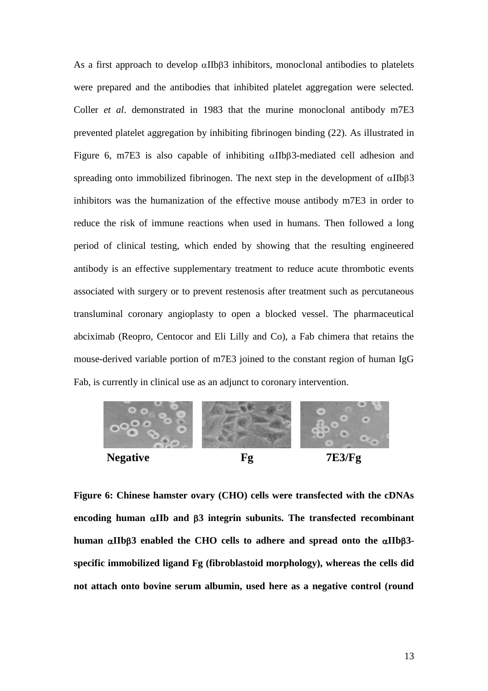As a first approach to develop  $\alpha$ IIb $\beta$ 3 inhibitors, monoclonal antibodies to platelets were prepared and the antibodies that inhibited platelet aggregation were selected. Coller *et al*. demonstrated in 1983 that the murine monoclonal antibody m7E3 prevented platelet aggregation by inhibiting fibrinogen binding (22). As illustrated in Figure 6, m7E3 is also capable of inhibiting  $\alpha$ IIb $\beta$ 3-mediated cell adhesion and spreading onto immobilized fibrinogen. The next step in the development of  $\alpha$ IIb $\beta$ 3 inhibitors was the humanization of the effective mouse antibody m7E3 in order to reduce the risk of immune reactions when used in humans. Then followed a long period of clinical testing, which ended by showing that the resulting engineered antibody is an effective supplementary treatment to reduce acute thrombotic events associated with surgery or to prevent restenosis after treatment such as percutaneous transluminal coronary angioplasty to open a blocked vessel. The pharmaceutical abciximab (Reopro, Centocor and Eli Lilly and Co), a Fab chimera that retains the mouse-derived variable portion of m7E3 joined to the constant region of human IgG Fab, is currently in clinical use as an adjunct to coronary intervention.



**Figure 6: Chinese hamster ovary (CHO) cells were transfected with the cDNAs**  encoding human  $\alpha$ IIb and  $\beta$ 3 integrin subunits. The transfected recombinant **human IIb3 enabled the CHO cells to adhere and spread onto the IIb3 specific immobilized ligand Fg (fibroblastoid morphology), whereas the cells did not attach onto bovine serum albumin, used here as a negative control (round**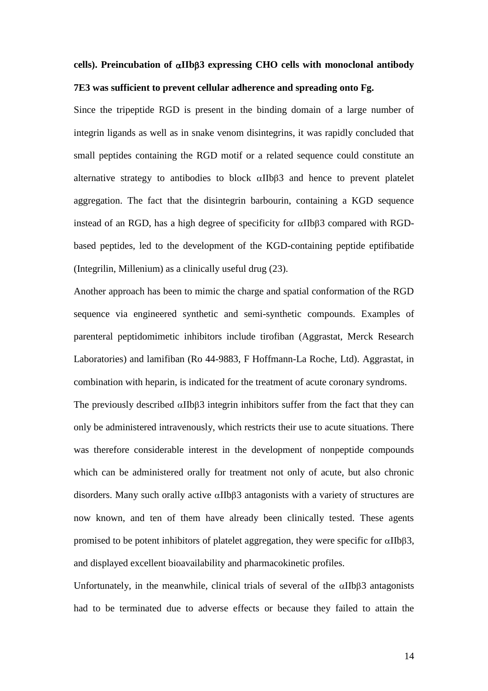## **cells). Preincubation of IIb3 expressing CHO cells with monoclonal antibody 7E3 was sufficient to prevent cellular adherence and spreading onto Fg.**

Since the tripeptide RGD is present in the binding domain of a large number of integrin ligands as well as in snake venom disintegrins, it was rapidly concluded that small peptides containing the RGD motif or a related sequence could constitute an alternative strategy to antibodies to block  $\alpha$ IIb $\beta$ 3 and hence to prevent platelet aggregation. The fact that the disintegrin barbourin, containing a KGD sequence instead of an RGD, has a high degree of specificity for  $\alpha$ IIb $\beta$ 3 compared with RGDbased peptides, led to the development of the KGD-containing peptide eptifibatide (Integrilin, Millenium) as a clinically useful drug (23).

Another approach has been to mimic the charge and spatial conformation of the RGD sequence via engineered synthetic and semi-synthetic compounds. Examples of parenteral peptidomimetic inhibitors include tirofiban (Aggrastat, Merck Research Laboratories) and lamifiban (Ro 44-9883, F Hoffmann-La Roche, Ltd). Aggrastat, in combination with heparin, is indicated for the treatment of acute coronary syndroms. The previously described  $\alpha$ IIb $\beta$ 3 integrin inhibitors suffer from the fact that they can only be administered intravenously, which restricts their use to acute situations. There was therefore considerable interest in the development of nonpeptide compounds which can be administered orally for treatment not only of acute, but also chronic disorders. Many such orally active  $\alpha$ IIb $\beta$ 3 antagonists with a variety of structures are now known, and ten of them have already been clinically tested. These agents promised to be potent inhibitors of platelet aggregation, they were specific for  $\alpha IIB\beta3$ , and displayed excellent bioavailability and pharmacokinetic profiles.

Unfortunately, in the meanwhile, clinical trials of several of the  $\alpha$ IIb $\beta$ 3 antagonists had to be terminated due to adverse effects or because they failed to attain the

14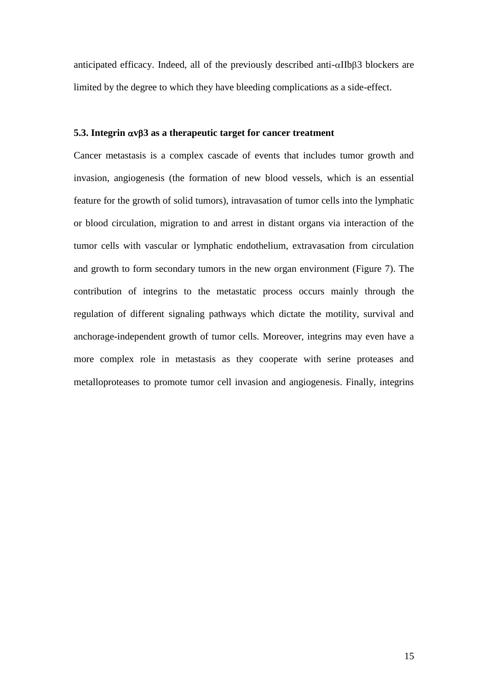anticipated efficacy. Indeed, all of the previously described anti- $\alpha$ IIb $\beta$ 3 blockers are limited by the degree to which they have bleeding complications as a side-effect.

### **5.3. Integrin**  $\alpha v\beta$ **3 as a therapeutic target for cancer treatment**

Cancer metastasis is a complex cascade of events that includes tumor growth and invasion, angiogenesis (the formation of new blood vessels, which is an essential feature for the growth of solid tumors), intravasation of tumor cells into the lymphatic or blood circulation, migration to and arrest in distant organs via interaction of the tumor cells with vascular or lymphatic endothelium, extravasation from circulation and growth to form secondary tumors in the new organ environment (Figure 7). The contribution of integrins to the metastatic process occurs mainly through the regulation of different signaling pathways which dictate the motility, survival and anchorage-independent growth of tumor cells. Moreover, integrins may even have a more complex role in metastasis as they cooperate with serine proteases and metalloproteases to promote tumor cell invasion and angiogenesis. Finally, integrins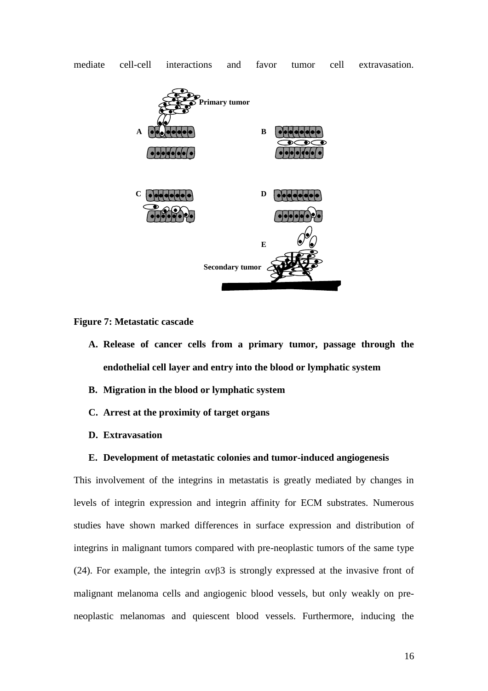

mediate cell-cell interactions and favor tumor cell extravasation.

**Figure 7: Metastatic cascade**

- **A. Release of cancer cells from a primary tumor, passage through the endothelial cell layer and entry into the blood or lymphatic system**
- **B. Migration in the blood or lymphatic system**
- **C. Arrest at the proximity of target organs**
- **D. Extravasation**

## **E. Development of metastatic colonies and tumor-induced angiogenesis**

This involvement of the integrins in metastatis is greatly mediated by changes in levels of integrin expression and integrin affinity for ECM substrates. Numerous studies have shown marked differences in surface expression and distribution of integrins in malignant tumors compared with pre-neoplastic tumors of the same type (24). For example, the integrin  $\alpha \nu \beta$  is strongly expressed at the invasive front of malignant melanoma cells and angiogenic blood vessels, but only weakly on preneoplastic melanomas and quiescent blood vessels. Furthermore, inducing the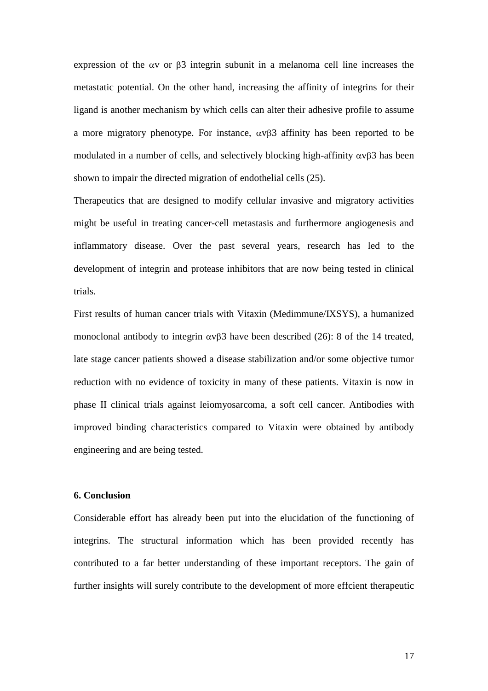expression of the  $\alpha v$  or  $\beta$ 3 integrin subunit in a melanoma cell line increases the metastatic potential. On the other hand, increasing the affinity of integrins for their ligand is another mechanism by which cells can alter their adhesive profile to assume a more migratory phenotype. For instance,  $\alpha \nu \beta$  affinity has been reported to be modulated in a number of cells, and selectively blocking high-affinity  $\alpha v\beta 3$  has been shown to impair the directed migration of endothelial cells (25).

Therapeutics that are designed to modify cellular invasive and migratory activities might be useful in treating cancer-cell metastasis and furthermore angiogenesis and inflammatory disease. Over the past several years, research has led to the development of integrin and protease inhibitors that are now being tested in clinical trials.

First results of human cancer trials with Vitaxin (Medimmune/IXSYS), a humanized monoclonal antibody to integrin  $\alpha \nu \beta$  have been described (26): 8 of the 14 treated, late stage cancer patients showed a disease stabilization and/or some objective tumor reduction with no evidence of toxicity in many of these patients. Vitaxin is now in phase II clinical trials against leiomyosarcoma, a soft cell cancer. Antibodies with improved binding characteristics compared to Vitaxin were obtained by antibody engineering and are being tested.

#### **6. Conclusion**

Considerable effort has already been put into the elucidation of the functioning of integrins. The structural information which has been provided recently has contributed to a far better understanding of these important receptors. The gain of further insights will surely contribute to the development of more effcient therapeutic

17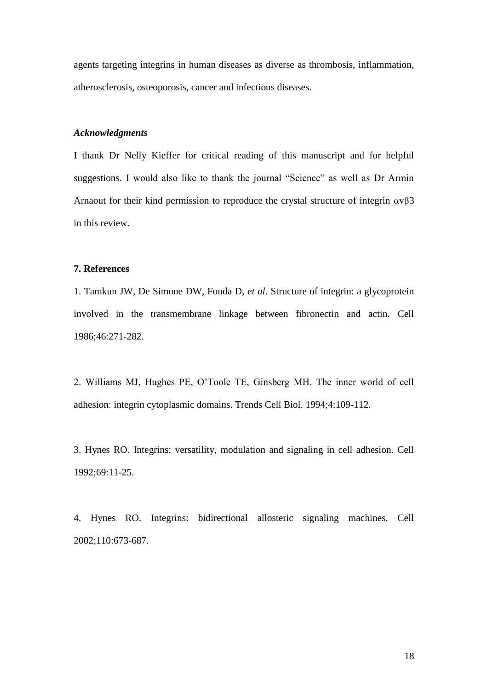agents targeting integrins in human diseases as diverse as thrombosis, inflammation, atherosclerosis, osteoporosis, cancer and infectious diseases.

#### *Acknowledgments*

I thank Dr Nelly Kieffer for critical reading of this manuscript and for helpful suggestions. I would also like to thank the journal "Science" as well as Dr Armin Arnaout for their kind permission to reproduce the crystal structure of integrin  $\alpha v\beta 3$ in this review.

#### **7. References**

1. Tamkun JW, De Simone DW, Fonda D, *et al*. Structure of integrin: a glycoprotein involved in the transmembrane linkage between fibronectin and actin. Cell 1986;46:271-282.

2. Williams MJ, Hughes PE, O'Toole TE, Ginsberg MH. The inner world of cell adhesion: integrin cytoplasmic domains. Trends Cell Biol. 1994;4:109-112.

3. Hynes RO. Integrins: versatility, modulation and signaling in cell adhesion. Cell 1992;69:11-25.

4. Hynes RO. Integrins: bidirectional allosteric signaling machines. Cell 2002;110:673-687.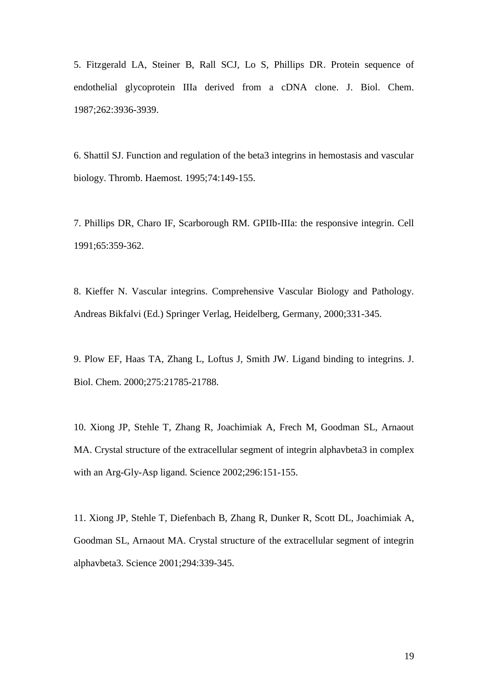5. Fitzgerald LA, Steiner B, Rall SCJ, Lo S, Phillips DR. Protein sequence of endothelial glycoprotein IIIa derived from a cDNA clone. J. Biol. Chem. 1987;262:3936-3939.

6. Shattil SJ. Function and regulation of the beta3 integrins in hemostasis and vascular biology. Thromb. Haemost. 1995;74:149-155.

7. Phillips DR, Charo IF, Scarborough RM. GPIIb-IIIa: the responsive integrin. Cell 1991;65:359-362.

8. Kieffer N. Vascular integrins. Comprehensive Vascular Biology and Pathology. Andreas Bikfalvi (Ed.) Springer Verlag, Heidelberg, Germany, 2000;331-345.

9. [Plow EF, Haas TA, Zhang L, Loftus J, Smith JW.](http://www.ncbi.nlm.nih.gov/entrez/query.fcgi?cmd=Retrieve&db=PubMed&list_uids=10801897&dopt=Abstract) Ligand binding to integrins. J. Biol. Chem. 2000;275:21785-21788.

10. [Xiong JP, Stehle T, Zhang R, Joachimiak A, Frech M, Goodman SL, Arnaout](http://www.ncbi.nlm.nih.gov/entrez/query.fcgi?cmd=Retrieve&db=PubMed&list_uids=11884718&dopt=Abstract)  [MA.](http://www.ncbi.nlm.nih.gov/entrez/query.fcgi?cmd=Retrieve&db=PubMed&list_uids=11884718&dopt=Abstract) Crystal structure of the extracellular segment of integrin alphavbeta3 in complex with an Arg-Gly-Asp ligand. Science 2002;296:151-155.

11. [Xiong JP, Stehle T, Diefenbach B, Zhang R, Dunker R, Scott DL, Joachimiak A,](http://www.ncbi.nlm.nih.gov/entrez/query.fcgi?cmd=Retrieve&db=PubMed&list_uids=11546839&dopt=Abstract)  [Goodman SL, Arnaout MA.](http://www.ncbi.nlm.nih.gov/entrez/query.fcgi?cmd=Retrieve&db=PubMed&list_uids=11546839&dopt=Abstract) Crystal structure of the extracellular segment of integrin alphavbeta3. Science 2001;294:339-345.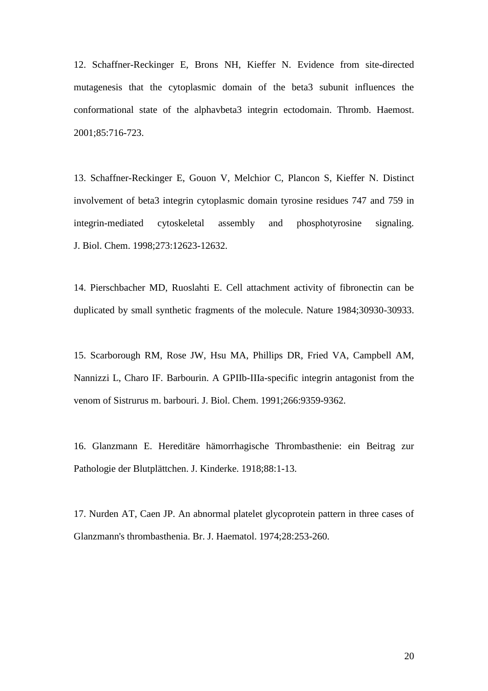12. [Schaffner-Reckinger E, Brons NH, Kieffer N.](http://www.ncbi.nlm.nih.gov/entrez/query.fcgi?cmd=Retrieve&db=PubMed&list_uids=11341510&dopt=Abstract) Evidence from site-directed mutagenesis that the cytoplasmic domain of the beta3 subunit influences the conformational state of the alphavbeta3 integrin ectodomain. Thromb. Haemost. 2001;85:716-723.

13. [Schaffner-Reckinger E, Gouon V, Melchior C, Plancon S, Kieffer N.](http://www.ncbi.nlm.nih.gov/entrez/query.fcgi?cmd=Retrieve&db=PubMed&list_uids=9575224&dopt=Abstract) Distinct involvement of beta3 integrin cytoplasmic domain tyrosine residues 747 and 759 in integrin-mediated cytoskeletal assembly and phosphotyrosine signaling. J. Biol. Chem. 1998;273:12623-12632.

14. [Pierschbacher MD, Ruoslahti E.](http://www.ncbi.nlm.nih.gov/entrez/query.fcgi?cmd=Retrieve&db=PubMed&list_uids=6325925&dopt=Abstract) Cell attachment activity of fibronectin can be duplicated by small synthetic fragments of the molecule. Nature 1984;30930-30933.

15. [Scarborough RM, Rose JW, Hsu MA, Phillips DR, Fried VA, Campbell AM,](http://www.ncbi.nlm.nih.gov/entrez/query.fcgi?cmd=Retrieve&db=PubMed&list_uids=2033037&dopt=Abstract)  [Nannizzi L, Charo IF.](http://www.ncbi.nlm.nih.gov/entrez/query.fcgi?cmd=Retrieve&db=PubMed&list_uids=2033037&dopt=Abstract) Barbourin. A GPIIb-IIIa-specific integrin antagonist from the venom of Sistrurus m. barbouri. J. Biol. Chem. 1991;266:9359-9362.

16. Glanzmann E. Hereditäre hämorrhagische Thrombasthenie: ein Beitrag zur Pathologie der Blutplättchen. J. Kinderke. 1918;88:1-13.

17. [Nurden AT, Caen JP.](http://www.ncbi.nlm.nih.gov/entrez/query.fcgi?cmd=Retrieve&db=PubMed&list_uids=4473996&dopt=Abstract) An abnormal platelet glycoprotein pattern in three cases of Glanzmann's thrombasthenia. Br. J. Haematol. 1974;28:253-260.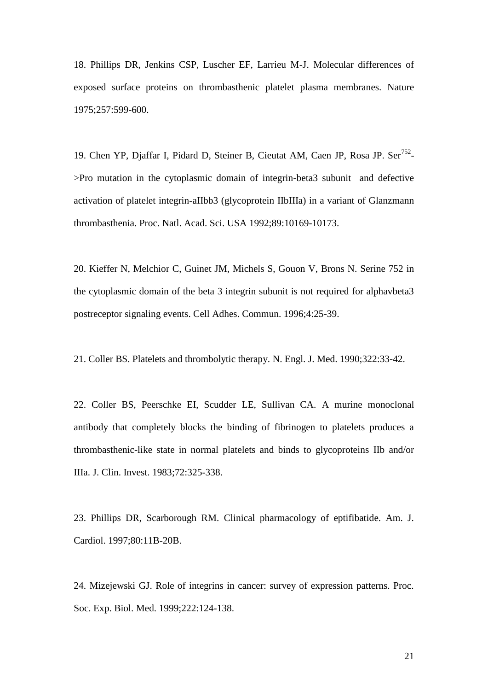18. Phillips DR, Jenkins CSP, Luscher EF, Larrieu M-J. Molecular differences of exposed surface proteins on thrombasthenic platelet plasma membranes. Nature 1975;257:599-600.

19. Chen YP, Djaffar I, Pidard D, Steiner B, Cieutat AM, Caen JP, Rosa JP. Ser<sup>752</sup>->Pro mutation in the cytoplasmic domain of integrin-beta3 subunit and defective activation of platelet integrin-aIIbb3 (glycoprotein IIbIIIa) in a variant of Glanzmann thrombasthenia. Proc. Natl. Acad. Sci. USA 1992;89:10169-10173.

20. [Kieffer N, Melchior C, Guinet JM, Michels S, Gouon V, Brons N.](http://www.ncbi.nlm.nih.gov/entrez/query.fcgi?cmd=Retrieve&db=PubMed&list_uids=8870971&dopt=Abstract) Serine 752 in the cytoplasmic domain of the beta 3 integrin subunit is not required for alphavbeta3 postreceptor signaling events. Cell Adhes. Commun. 1996;4:25-39.

21. Coller BS. Platelets and thrombolytic therapy. N. Engl. J. Med. 1990;322:33-42.

22. Coller BS, Peerschke EI, Scudder LE, Sullivan CA. A murine monoclonal antibody that completely blocks the binding of fibrinogen to platelets produces a thrombasthenic-like state in normal platelets and binds to glycoproteins IIb and/or IIIa. J. Clin. Invest. 1983;72:325-338.

23. [Phillips DR, Scarborough RM.](http://www.ncbi.nlm.nih.gov/entrez/query.fcgi?cmd=Retrieve&db=PubMed&list_uids=9291241&dopt=Abstract) Clinical pharmacology of eptifibatide. Am. J. Cardiol. 1997;80:11B-20B.

24. Mizejewski GJ. Role of integrins in cancer: survey of expression patterns. Proc. Soc. Exp. Biol. Med. 1999;222:124-138.

21